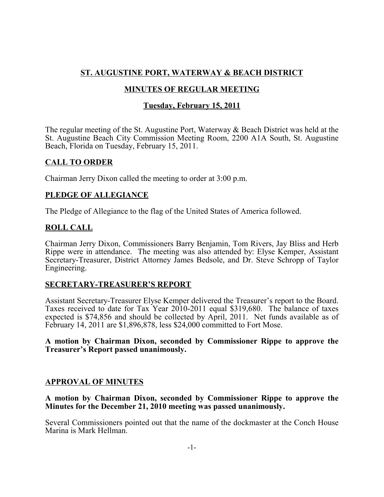# **ST. AUGUSTINE PORT, WATERWAY & BEACH DISTRICT**

# **MINUTES OF REGULAR MEETING**

# **Tuesday, February 15, 2011**

The regular meeting of the St. Augustine Port, Waterway & Beach District was held at the St. Augustine Beach City Commission Meeting Room, 2200 A1A South, St. Augustine Beach, Florida on Tuesday, February 15, 2011.

# **CALL TO ORDER**

Chairman Jerry Dixon called the meeting to order at 3:00 p.m.

# **PLEDGE OF ALLEGIANCE**

The Pledge of Allegiance to the flag of the United States of America followed.

# **ROLL CALL**

Chairman Jerry Dixon, Commissioners Barry Benjamin, Tom Rivers, Jay Bliss and Herb Rippe were in attendance. The meeting was also attended by: Elyse Kemper, Assistant Secretary-Treasurer, District Attorney James Bedsole, and Dr. Steve Schropp of Taylor Engineering.

### **SECRETARY-TREASURER'S REPORT**

Assistant Secretary-Treasurer Elyse Kemper delivered the Treasurer's report to the Board. Taxes received to date for Tax Year 2010-2011 equal \$319,680. The balance of taxes expected is \$74,856 and should be collected by April, 2011. Net funds available as of February 14, 2011 are \$1,896,878, less \$24,000 committed to Fort Mose.

#### **A motion by Chairman Dixon, seconded by Commissioner Rippe to approve the Treasurer's Report passed unanimously.**

### **APPROVAL OF MINUTES**

**A motion by Chairman Dixon, seconded by Commissioner Rippe to approve the Minutes for the December 21, 2010 meeting was passed unanimously.**

Several Commissioners pointed out that the name of the dockmaster at the Conch House Marina is Mark Hellman.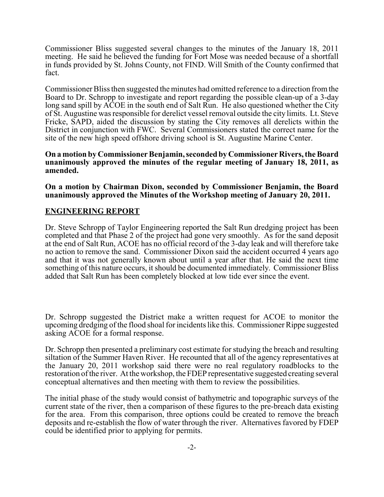Commissioner Bliss suggested several changes to the minutes of the January 18, 2011 meeting. He said he believed the funding for Fort Mose was needed because of a shortfall in funds provided by St. Johns County, not FIND. Will Smith of the County confirmed that fact.

Commissioner Bliss then suggested the minutes had omitted reference to a direction from the Board to Dr. Schropp to investigate and report regarding the possible clean-up of a 3-day long sand spill by  $\angle ACOE$  in the south end of Salt Run. He also questioned whether the City of St. Augustine was responsible for derelict vessel removal outside the city limits. Lt. Steve Fricke, SAPD, aided the discussion by stating the City removes all derelicts within the District in conjunction with FWC. Several Commissioners stated the correct name for the site of the new high speed offshore driving school is St. Augustine Marine Center.

**On a motion by Commissioner Benjamin, seconded by Commissioner Rivers, the Board unanimously approved the minutes of the regular meeting of January 18, 2011, as amended.**

**On a motion by Chairman Dixon, seconded by Commissioner Benjamin, the Board unanimously approved the Minutes of the Workshop meeting of January 20, 2011.**

# **ENGINEERING REPORT**

Dr. Steve Schropp of Taylor Engineering reported the Salt Run dredging project has been completed and that Phase 2 of the project had gone very smoothly. As for the sand deposit at the end of Salt Run, ACOE has no official record of the 3-day leak and will therefore take no action to remove the sand. Commissioner Dixon said the accident occurred 4 years ago and that it was not generally known about until a year after that. He said the next time something of this nature occurs, it should be documented immediately. Commissioner Bliss added that Salt Run has been completely blocked at low tide ever since the event.

Dr. Schropp suggested the District make a written request for ACOE to monitor the upcoming dredging of the flood shoal for incidents like this. Commissioner Rippe suggested asking ACOE for a formal response.

Dr. Schropp then presented a preliminary cost estimate for studying the breach and resulting siltation of the Summer Haven River. He recounted that all of the agency representatives at the January 20, 2011 workshop said there were no real regulatory roadblocks to the restoration of the river. At the workshop, the FDEP representative suggested creating several conceptual alternatives and then meeting with them to review the possibilities.

The initial phase of the study would consist of bathymetric and topographic surveys of the current state of the river, then a comparison of these figures to the pre-breach data existing for the area. From this comparison, three options could be created to remove the breach deposits and re-establish the flow of water through the river. Alternatives favored by FDEP could be identified prior to applying for permits.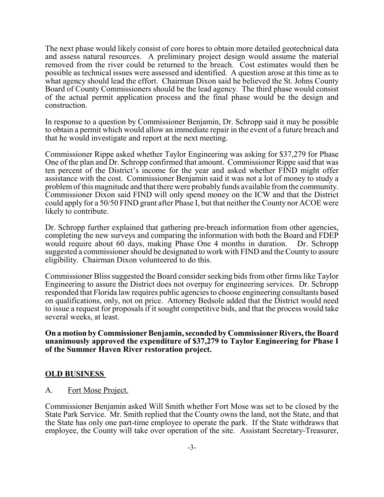The next phase would likely consist of core bores to obtain more detailed geotechnical data and assess natural resources. A preliminary project design would assume the material removed from the river could be returned to the breach. Cost estimates would then be possible as technical issues were assessed and identified. A question arose at this time as to what agency should lead the effort. Chairman Dixon said he believed the St. Johns County Board of County Commissioners should be the lead agency. The third phase would consist of the actual permit application process and the final phase would be the design and construction.

In response to a question by Commissioner Benjamin, Dr. Schropp said it may be possible to obtain a permit which would allow an immediate repair in the event of a future breach and that he would investigate and report at the next meeting.

Commissioner Rippe asked whether Taylor Engineering was asking for \$37,279 for Phase One of the plan and Dr. Schropp confirmed that amount. Commissioner Rippe said that was ten percent of the District's income for the year and asked whether FIND might offer assistance with the cost. Commissioner Benjamin said it was not a lot of money to study a problem of this magnitude and that there were probably funds available from the community. Commissioner Dixon said FIND will only spend money on the ICW and that the District could apply for a 50/50 FIND grant after Phase I, but that neither the County nor ACOE were likely to contribute.

Dr. Schropp further explained that gathering pre-breach information from other agencies, completing the new surveys and comparing the information with both the Board and FDEP would require about 60 days, making Phase One 4 months in duration. Dr. Schropp suggested a commissioner should be designated to work with FIND and the County to assure eligibility. Chairman Dixon volunteered to do this.

Commissioner Bliss suggested the Board consider seeking bids from other firms like Taylor Engineering to assure the District does not overpay for engineering services. Dr. Schropp responded that Florida law requires public agencies to choose engineering consultants based on qualifications, only, not on price. Attorney Bedsole added that the District would need to issue a request for proposals if it sought competitive bids, and that the process would take several weeks, at least.

**On a motion by Commissioner Benjamin, seconded by Commissioner Rivers, the Board unanimously approved the expenditure of \$37,279 to Taylor Engineering for Phase I of the Summer Haven River restoration project.**

### **OLD BUSINESS**

A. Fort Mose Project.

Commissioner Benjamin asked Will Smith whether Fort Mose was set to be closed by the State Park Service. Mr. Smith replied that the County owns the land, not the State, and that the State has only one part-time employee to operate the park. If the State withdraws that employee, the County will take over operation of the site. Assistant Secretary-Treasurer,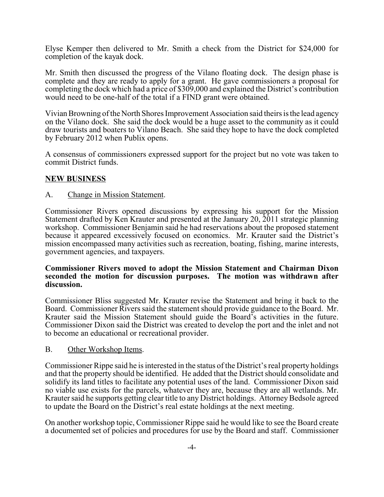Elyse Kemper then delivered to Mr. Smith a check from the District for \$24,000 for completion of the kayak dock.

Mr. Smith then discussed the progress of the Vilano floating dock. The design phase is complete and they are ready to apply for a grant. He gave commissioners a proposal for completing the dock which had a price of \$309,000 and explained the District's contribution would need to be one-half of the total if a FIND grant were obtained.

Vivian Browning of the North Shores Improvement Association said theirs is the lead agency on the Vilano dock. She said the dock would be a huge asset to the community as it could draw tourists and boaters to Vilano Beach. She said they hope to have the dock completed by February 2012 when Publix opens.

A consensus of commissioners expressed support for the project but no vote was taken to commit District funds.

### **NEW BUSINESS**

#### A. Change in Mission Statement.

Commissioner Rivers opened discussions by expressing his support for the Mission Statement drafted by Ken Krauter and presented at the January 20, 2011 strategic planning workshop. Commissioner Benjamin said he had reservations about the proposed statement because it appeared excessively focused on economics. Mr. Krauter said the District's mission encompassed many activities such as recreation, boating, fishing, marine interests, government agencies, and taxpayers.

#### **Commissioner Rivers moved to adopt the Mission Statement and Chairman Dixon seconded the motion for discussion purposes. The motion was withdrawn after discussion.**

Commissioner Bliss suggested Mr. Krauter revise the Statement and bring it back to the Board. Commissioner Rivers said the statement should provide guidance to the Board. Mr. Krauter said the Mission Statement should guide the Board's activities in the future. Commissioner Dixon said the District was created to develop the port and the inlet and not to become an educational or recreational provider.

#### B. Other Workshop Items.

Commissioner Rippe said he is interested in the status of the District's real property holdings and that the property should be identified. He added that the District should consolidate and solidify its land titles to facilitate any potential uses of the land. Commissioner Dixon said no viable use exists for the parcels, whatever they are, because they are all wetlands. Mr. Krauter said he supports getting clear title to any District holdings. Attorney Bedsole agreed to update the Board on the District's real estate holdings at the next meeting.

On another workshop topic, Commissioner Rippe said he would like to see the Board create a documented set of policies and procedures for use by the Board and staff. Commissioner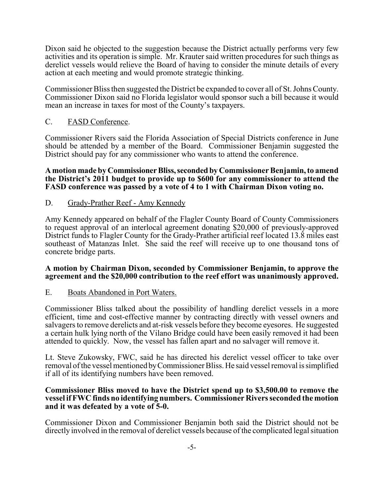Dixon said he objected to the suggestion because the District actually performs very few activities and its operation is simple. Mr. Krauter said written procedures for such things as derelict vessels would relieve the Board of having to consider the minute details of every action at each meeting and would promote strategic thinking.

Commissioner Bliss then suggested the District be expanded to cover all of St. Johns County. Commissioner Dixon said no Florida legislator would sponsor such a bill because it would mean an increase in taxes for most of the County's taxpayers.

### C. FASD Conference.

Commissioner Rivers said the Florida Association of Special Districts conference in June should be attended by a member of the Board. Commissioner Benjamin suggested the District should pay for any commissioner who wants to attend the conference.

#### **A motion made by Commissioner Bliss, seconded by Commissioner Benjamin, to amend the District's 2011 budget to provide up to \$600 for any commissioner to attend the FASD conference was passed by a vote of 4 to 1 with Chairman Dixon voting no.**

### D. Grady-Prather Reef - Amy Kennedy

Amy Kennedy appeared on behalf of the Flagler County Board of County Commissioners to request approval of an interlocal agreement donating \$20,000 of previously-approved District funds to Flagler County for the Grady-Prather artificial reef located 13.8 miles east southeast of Matanzas Inlet. She said the reef will receive up to one thousand tons of concrete bridge parts.

#### **A motion by Chairman Dixon, seconded by Commissioner Benjamin, to approve the agreement and the \$20,000 contribution to the reef effort was unanimously approved.**

### E. Boats Abandoned in Port Waters.

Commissioner Bliss talked about the possibility of handling derelict vessels in a more efficient, time and cost-effective manner by contracting directly with vessel owners and salvagers to remove derelicts and at-risk vessels before they become eyesores. He suggested a certain hulk lying north of the Vilano Bridge could have been easily removed it had been attended to quickly. Now, the vessel has fallen apart and no salvager will remove it.

Lt. Steve Zukowsky, FWC, said he has directed his derelict vessel officer to take over removal of the vessel mentioned by Commissioner Bliss. He said vessel removal is simplified if all of its identifying numbers have been removed.

#### **Commissioner Bliss moved to have the District spend up to \$3,500.00 to remove the vessel if FWC finds no identifying numbers. Commissioner Rivers seconded the motion and it was defeated by a vote of 5-0.**

Commissioner Dixon and Commissioner Benjamin both said the District should not be directly involved in the removal of derelict vessels because of the complicated legal situation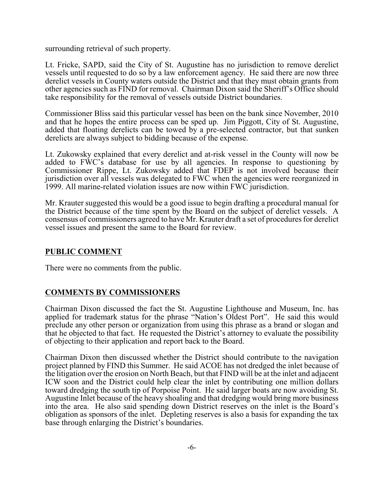surrounding retrieval of such property.

Lt. Fricke, SAPD, said the City of St. Augustine has no jurisdiction to remove derelict vessels until requested to do so by a law enforcement agency. He said there are now three derelict vessels in County waters outside the District and that they must obtain grants from other agencies such as FIND for removal. Chairman Dixon said the Sheriff's Office should take responsibility for the removal of vessels outside District boundaries.

Commissioner Bliss said this particular vessel has been on the bank since November, 2010 and that he hopes the entire process can be sped up. Jim Piggott, City of St. Augustine, added that floating derelicts can be towed by a pre-selected contractor, but that sunken derelicts are always subject to bidding because of the expense.

Lt. Zukowsky explained that every derelict and at-risk vessel in the County will now be added to FWC's database for use by all agencies. In response to questioning by Commissioner Rippe, Lt. Zukowsky added that FDEP is not involved because their jurisdiction over all vessels was delegated to FWC when the agencies were reorganized in 1999. All marine-related violation issues are now within FWC jurisdiction.

Mr. Krauter suggested this would be a good issue to begin drafting a procedural manual for the District because of the time spent by the Board on the subject of derelict vessels. A consensus of commissioners agreed to have Mr. Krauter draft a set of procedures for derelict vessel issues and present the same to the Board for review.

# **PUBLIC COMMENT**

There were no comments from the public.

# **COMMENTS BY COMMISSIONERS**

Chairman Dixon discussed the fact the St. Augustine Lighthouse and Museum, Inc. has applied for trademark status for the phrase "Nation's Oldest Port". He said this would preclude any other person or organization from using this phrase as a brand or slogan and that he objected to that fact. He requested the District's attorney to evaluate the possibility of objecting to their application and report back to the Board.

Chairman Dixon then discussed whether the District should contribute to the navigation project planned by FIND this Summer. He said ACOE has not dredged the inlet because of the litigation over the erosion on North Beach, but that FIND will be at the inlet and adjacent ICW soon and the District could help clear the inlet by contributing one million dollars toward dredging the south tip of Porpoise Point. He said larger boats are now avoiding St. Augustine Inlet because of the heavy shoaling and that dredging would bring more business into the area. He also said spending down District reserves on the inlet is the Board's obligation as sponsors of the inlet. Depleting reserves is also a basis for expanding the tax base through enlarging the District's boundaries.